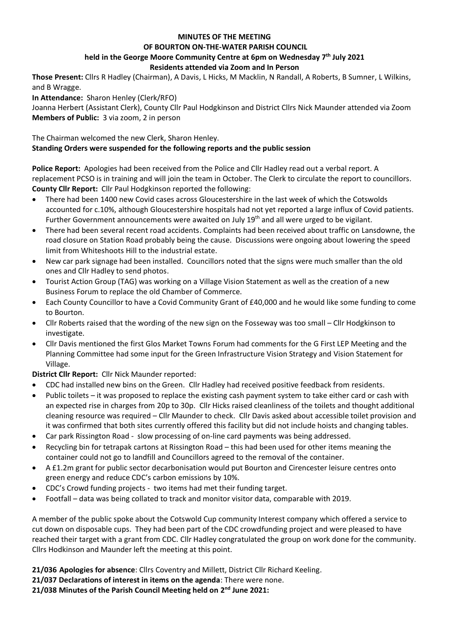### **MINUTES OF THE MEETING**

### **OF BOURTON ON-THE-WATER PARISH COUNCIL**

# **held in the George Moore Community Centre at 6pm on Wednesday 7 th July 2021**

## **Residents attended via Zoom and In Person**

**Those Present:** Cllrs R Hadley (Chairman), A Davis, L Hicks, M Macklin, N Randall, A Roberts, B Sumner, L Wilkins, and B Wragge.

**In Attendance:** Sharon Henley (Clerk/RFO)

Joanna Herbert (Assistant Clerk), County Cllr Paul Hodgkinson and District Cllrs Nick Maunder attended via Zoom **Members of Public:** 3 via zoom, 2 in person

The Chairman welcomed the new Clerk, Sharon Henley. **Standing Orders were suspended for the following reports and the public session**

**Police Report:** Apologies had been received from the Police and Cllr Hadley read out a verbal report. A replacement PCSO is in training and will join the team in October. The Clerk to circulate the report to councillors. **County Cllr Report:** Cllr Paul Hodgkinson reported the following:

- There had been 1400 new Covid cases across Gloucestershire in the last week of which the Cotswolds accounted for c.10%, although Gloucestershire hospitals had not yet reported a large influx of Covid patients. Further Government announcements were awaited on July 19<sup>th</sup> and all were urged to be vigilant.
- There had been several recent road accidents. Complaints had been received about traffic on Lansdowne, the road closure on Station Road probably being the cause. Discussions were ongoing about lowering the speed limit from Whiteshoots Hill to the industrial estate.
- New car park signage had been installed. Councillors noted that the signs were much smaller than the old ones and Cllr Hadley to send photos.
- Tourist Action Group (TAG) was working on a Village Vision Statement as well as the creation of a new Business Forum to replace the old Chamber of Commerce.
- Each County Councillor to have a Covid Community Grant of £40,000 and he would like some funding to come to Bourton.
- Cllr Roberts raised that the wording of the new sign on the Fosseway was too small Cllr Hodgkinson to investigate.
- Cllr Davis mentioned the first Glos Market Towns Forum had comments for the G First LEP Meeting and the Planning Committee had some input for the Green Infrastructure Vision Strategy and Vision Statement for Village.

**District Cllr Report:** Cllr Nick Maunder reported:

- CDC had installed new bins on the Green. Cllr Hadley had received positive feedback from residents.
- Public toilets it was proposed to replace the existing cash payment system to take either card or cash with an expected rise in charges from 20p to 30p. Cllr Hicks raised cleanliness of the toilets and thought additional cleaning resource was required – Cllr Maunder to check. Cllr Davis asked about accessible toilet provision and it was confirmed that both sites currently offered this facility but did not include hoists and changing tables.
- Car park Rissington Road slow processing of on-line card payments was being addressed.
- Recycling bin for tetrapak cartons at Rissington Road this had been used for other items meaning the container could not go to landfill and Councillors agreed to the removal of the container.
- A £1.2m grant for public sector decarbonisation would put Bourton and Cirencester leisure centres onto green energy and reduce CDC's carbon emissions by 10%.
- CDC's Crowd funding projects two items had met their funding target.
- Footfall data was being collated to track and monitor visitor data, comparable with 2019.

A member of the public spoke about the Cotswold Cup community Interest company which offered a service to cut down on disposable cups. They had been part of the CDC crowdfunding project and were pleased to have reached their target with a grant from CDC. Cllr Hadley congratulated the group on work done for the community. Cllrs Hodkinson and Maunder left the meeting at this point.

**21/036 Apologies for absence**: Cllrs Coventry and Millett, District Cllr Richard Keeling.

**21/037 Declarations of interest in items on the agenda**: There were none.

**21/038 Minutes of the Parish Council Meeting held on 2 nd June 2021:**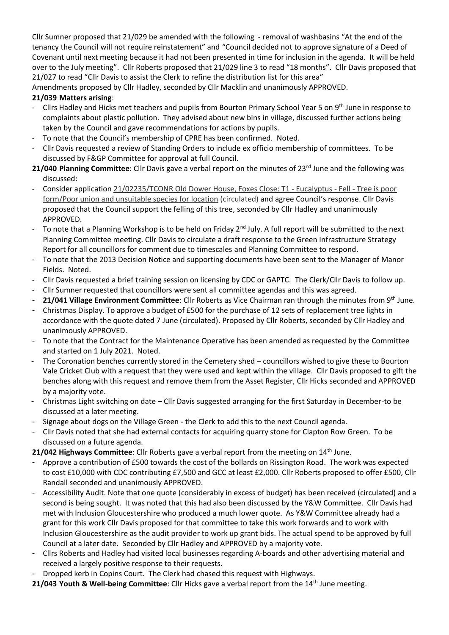Cllr Sumner proposed that 21/029 be amended with the following - removal of washbasins "At the end of the tenancy the Council will not require reinstatement" and "Council decided not to approve signature of a Deed of Covenant until next meeting because it had not been presented in time for inclusion in the agenda. It will be held over to the July meeting". Cllr Roberts proposed that 21/029 line 3 to read "18 months". Cllr Davis proposed that 21/027 to read "Cllr Davis to assist the Clerk to refine the distribution list for this area"

Amendments proposed by Cllr Hadley, seconded by Cllr Macklin and unanimously APPROVED.

# **21/039 Matters arising**:

- Cllrs Hadley and Hicks met teachers and pupils from Bourton Primary School Year 5 on 9th June in response to complaints about plastic pollution. They advised about new bins in village, discussed further actions being taken by the Council and gave recommendations for actions by pupils.
- To note that the Council's membership of CPRE has been confirmed. Noted.
- Cllr Davis requested a review of Standing Orders to include ex officio membership of committees. To be discussed by F&GP Committee for approval at full Council.
- **21/040 Planning Committee**: Cllr Davis gave a verbal report on the minutes of 23<sup>rd</sup> June and the following was discussed:
- Consider application 21/02235/TCONR Old Dower House, Foxes Close: T1 Eucalyptus Fell Tree is poor form/Poor union and unsuitable species for location (circulated) and agree Council's response. Cllr Davis proposed that the Council support the felling of this tree, seconded by Cllr Hadley and unanimously APPROVED.
- To note that a Planning Workshop is to be held on Friday 2<sup>nd</sup> July. A full report will be submitted to the next Planning Committee meeting. Cllr Davis to circulate a draft response to the Green Infrastructure Strategy Report for all councillors for comment due to timescales and Planning Committee to respond.
- To note that the 2013 Decision Notice and supporting documents have been sent to the Manager of Manor Fields. Noted.
- Cllr Davis requested a brief training session on licensing by CDC or GAPTC. The Clerk/Cllr Davis to follow up.
- Cllr Sumner requested that councillors were sent all committee agendas and this was agreed.
- **21/041 Village Environment Committee**: Cllr Roberts as Vice Chairman ran through the minutes from 9th June.
- Christmas Display. To approve a budget of £500 for the purchase of 12 sets of replacement tree lights in accordance with the quote dated 7 June (circulated). Proposed by Cllr Roberts, seconded by Cllr Hadley and unanimously APPROVED.
- To note that the Contract for the Maintenance Operative has been amended as requested by the Committee and started on 1 July 2021. Noted.
- The Coronation benches currently stored in the Cemetery shed councillors wished to give these to Bourton Vale Cricket Club with a request that they were used and kept within the village. Cllr Davis proposed to gift the benches along with this request and remove them from the Asset Register, Cllr Hicks seconded and APPROVED by a majority vote.
- Christmas Light switching on date Cllr Davis suggested arranging for the first Saturday in December-to be discussed at a later meeting.
- Signage about dogs on the Village Green the Clerk to add this to the next Council agenda.
- Cllr Davis noted that she had external contacts for acquiring quarry stone for Clapton Row Green. To be discussed on a future agenda.
- 21/042 Highways Committee: Cllr Roberts gave a verbal report from the meeting on 14<sup>th</sup> June.
- Approve a contribution of £500 towards the cost of the bollards on Rissington Road. The work was expected to cost £10,000 with CDC contributing £7,500 and GCC at least £2,000. Cllr Roberts proposed to offer £500, Cllr Randall seconded and unanimously APPROVED.
- Accessibility Audit. Note that one quote (considerably in excess of budget) has been received (circulated) and a second is being sought. It was noted that this had also been discussed by the Y&W Committee. Cllr Davis had met with Inclusion Gloucestershire who produced a much lower quote. As Y&W Committee already had a grant for this work Cllr Davis proposed for that committee to take this work forwards and to work with Inclusion Gloucestershire as the audit provider to work up grant bids. The actual spend to be approved by full Council at a later date. Seconded by Cllr Hadley and APPROVED by a majority vote.
- Cllrs Roberts and Hadley had visited local businesses regarding A-boards and other advertising material and received a largely positive response to their requests.
- Dropped kerb in Copins Court. The Clerk had chased this request with Highways.
- **21/043 Youth & Well-being Committee**: Cllr Hicks gave a verbal report from the 14th June meeting.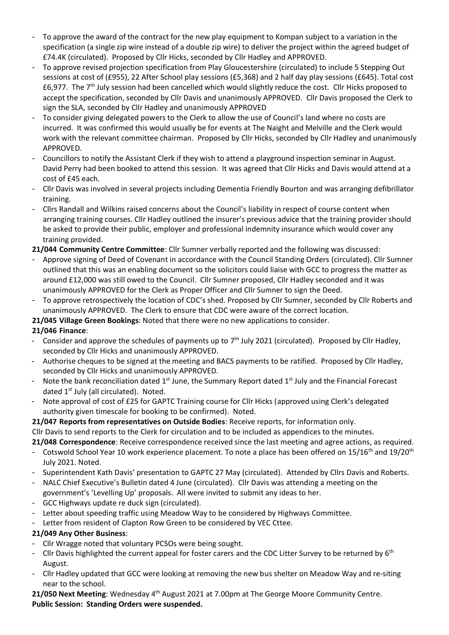- To approve the award of the contract for the new play equipment to Kompan subject to a variation in the specification (a single zip wire instead of a double zip wire) to deliver the project within the agreed budget of £74.4K (circulated). Proposed by Cllr Hicks, seconded by Cllr Hadley and APPROVED.
- To approve revised projection specification from Play Gloucestershire (circulated) to include 5 Stepping Out sessions at cost of (£955), 22 After School play sessions (£5,368) and 2 half day play sessions (£645). Total cost £6,977. The 7<sup>th</sup> July session had been cancelled which would slightly reduce the cost. Cllr Hicks proposed to accept the specification, seconded by Cllr Davis and unanimously APPROVED. Cllr Davis proposed the Clerk to sign the SLA, seconded by Cllr Hadley and unanimously APPROVED
- To consider giving delegated powers to the Clerk to allow the use of Council's land where no costs are incurred. It was confirmed this would usually be for events at The Naight and Melville and the Clerk would work with the relevant committee chairman. Proposed by Cllr Hicks, seconded by Cllr Hadley and unanimously APPROVED.
- Councillors to notify the Assistant Clerk if they wish to attend a playground inspection seminar in August. David Perry had been booked to attend this session. It was agreed that Cllr Hicks and Davis would attend at a cost of £45 each.
- Cllr Davis was involved in several projects including Dementia Friendly Bourton and was arranging defibrillator training.
- Cllrs Randall and Wilkins raised concerns about the Council's liability in respect of course content when arranging training courses. Cllr Hadley outlined the insurer's previous advice that the training provider should be asked to provide their public, employer and professional indemnity insurance which would cover any training provided.
- **21/044 Community Centre Committee**: Cllr Sumner verbally reported and the following was discussed:
- Approve signing of Deed of Covenant in accordance with the Council Standing Orders (circulated). Cllr Sumner outlined that this was an enabling document so the solicitors could liaise with GCC to progress the matter as around £12,000 was still owed to the Council. Cllr Sumner proposed, Cllr Hadley seconded and it was unanimously APPROVED for the Clerk as Proper Officer and Cllr Sumner to sign the Deed.
- To approve retrospectively the location of CDC's shed. Proposed by Cllr Sumner, seconded by Cllr Roberts and unanimously APPROVED. The Clerk to ensure that CDC were aware of the correct location.

**21/045 Village Green Bookings**: Noted that there were no new applications to consider.

- **21/046 Finance**:
- Consider and approve the schedules of payments up to  $7<sup>th</sup>$  July 2021 (circulated). Proposed by Cllr Hadley, seconded by Cllr Hicks and unanimously APPROVED.
- Authorise cheques to be signed at the meeting and BACS payments to be ratified. Proposed by Cllr Hadley, seconded by Cllr Hicks and unanimously APPROVED.
- Note the bank reconciliation dated 1<sup>st</sup> June, the Summary Report dated 1<sup>st</sup> July and the Financial Forecast dated 1<sup>st</sup> July (all circulated). Noted.
- Note approval of cost of £25 for GAPTC Training course for Cllr Hicks (approved using Clerk's delegated authority given timescale for booking to be confirmed). Noted.

**21/047 Reports from representatives on Outside Bodies**: Receive reports, for information only. Cllr Davis to send reports to the Clerk for circulation and to be included as appendices to the minutes.

**21/048 Correspondence**: Receive correspondence received since the last meeting and agree actions, as required.

- Cotswold School Year 10 work experience placement. To note a place has been offered on 15/16<sup>th</sup> and 19/20<sup>th</sup> July 2021. Noted.
- Superintendent Kath Davis' presentation to GAPTC 27 May (circulated). Attended by Cllrs Davis and Roberts.
- NALC Chief Executive's Bulletin dated 4 June (circulated). Cllr Davis was attending a meeting on the government's 'Levelling Up' proposals. All were invited to submit any ideas to her.
- GCC Highways update re duck sign (circulated).
- Letter about speeding traffic using Meadow Way to be considered by Highways Committee.
- Letter from resident of Clapton Row Green to be considered by VEC Cttee.

# **21/049 Any Other Business**:

- Cllr Wragge noted that voluntary PCSOs were being sought.
- Cllr Davis highlighted the current appeal for foster carers and the CDC Litter Survey to be returned by 6<sup>th</sup> August.
- Cllr Hadley updated that GCC were looking at removing the new bus shelter on Meadow Way and re-siting near to the school.

21/050 Next Meeting: Wednesday 4<sup>th</sup> August 2021 at 7.00pm at The George Moore Community Centre. **Public Session: Standing Orders were suspended.**